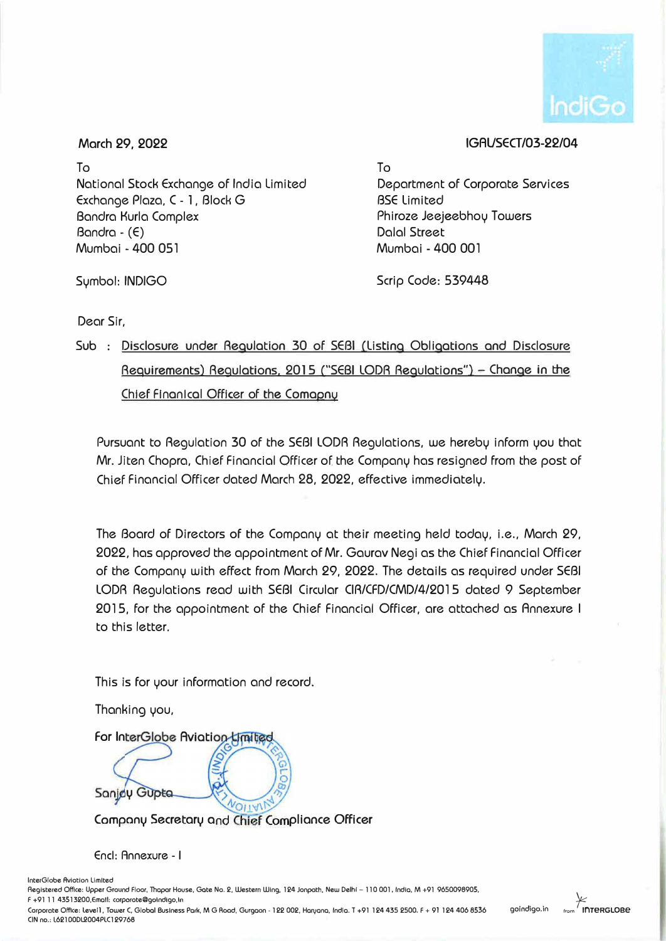

## **IGAUSECT/03-22/04**

**March 29, 2022** 

To National Stock Exchange of India Limited Exchange Plaza, C - 1 , Block G Bandra Kurla Complex Bandra - (E) Mumbai - 400 051

Symbol: INDIGO

To Department of Corporate SeNices BSE limited Phiroze Jeejeebhoy Towers Dalal Street Mumbai - 400 001

Scrip Code: 539448

Dear Sir,

## Sub : Disclosure under Regulation 30 of SEBI (Listing Obligations and Disclosure Requirements) Regulations, 2015 ("SEBI LODR Regulations") - Change in the Chief Flnanlcal Officer of the Comapny

Pursuant to Regulation 30 of the SEBI LODA Regulations, we hereby inform you that Mr. Jiten Chopra, Chief Financial Officer of the Company has resigned from the post of Chief Financial Officer dated March 28, 2022, effective immediately.

The Board of Directors of the Company at their meeting held today, i.e., March 29, 2022, has approved the appointment of Mr. Gaurav Negi as the Chief Financial Officer of the Company with effect from March 29, 2022. The details as required under SEBI LODA Regulations read with SEBI Circular CIR/CFD/CMD/4/2015 dated 9 September 2015, for the appointment of the Chief Financial Officer, are attached as Annexure I to this letter.

This is for your information and record.

Thanking you,

For InterGlobe Aviotion Limited

Sanjou Gupta

**Company Secretary and Chief Compliance Officer** 

Encl: Annexure - I

lnterGlobe Aviation Limited

Registered Office: Upper Graund Floa,, Thapar Hause, Gate Na. 2, Western Wing, 124 Janpath, New Delhi - 110 001, India, M +91 9650098905,

F +91 11 43513200,Emall: corporate@golndlgo,ln Carporate Office: Level1, Tower C, Global Business Park, M G Road, Gurgaon - 122 002, Hanyana, India. T +91 124 435 2500. F + 91 124 406 8536 CIN no.: L62100DL2004PLC129768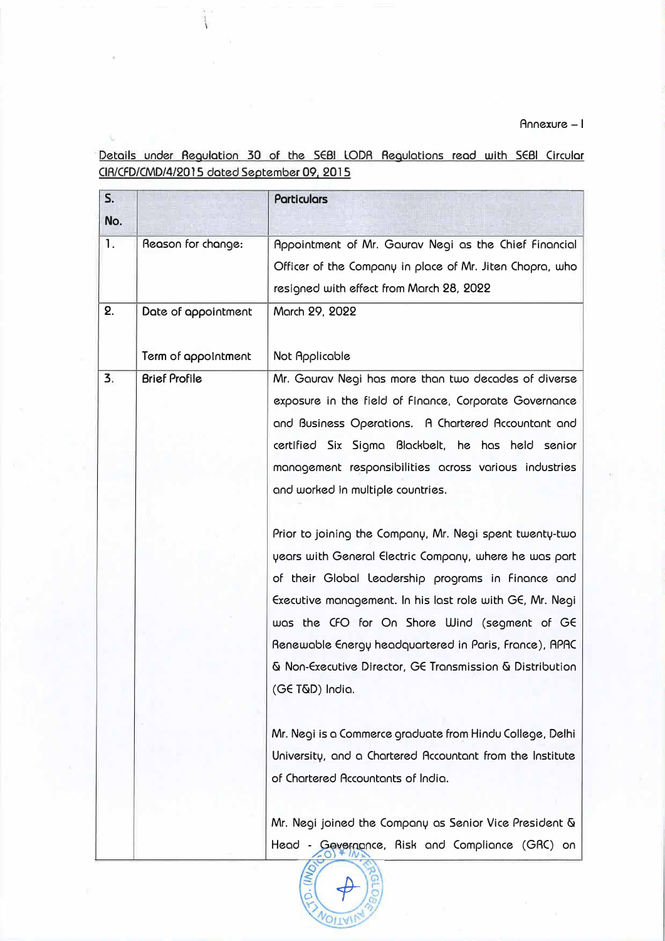Annexure - I

Details under Aegulation 30 of the SE81 LODA Aegulations read with SE81 Circular CIA/CFD/CMD/4/2015 dated September 09, 2015

u.

| S.<br>No. |                      | Particulars                                               |
|-----------|----------------------|-----------------------------------------------------------|
| 1.        | Reason for change:   | Appointment of Mr. Gaurav Negi as the Chief Financial     |
|           |                      | Officer of the Company in place of Mr. Jiten Chopra, who  |
|           |                      | resigned with effect from March 28, 2022                  |
| 2.        | Date of appointment  | March 29, 2022                                            |
|           | Term of appointment  | <b>Not Applicable</b>                                     |
| 3.        | <b>Brief Profile</b> | Mr. Gaurav Negi has more than two decades of diverse      |
|           |                      | exposure in the field of Finance, Corporate Governance    |
|           |                      | and Business Operations. A Chartered Accountant and       |
|           |                      | certified Six Sigma Blackbelt, he has held senior         |
|           |                      | management responsibilities across various industries     |
|           |                      | and worked in multiple countries.                         |
|           |                      | Prior to joining the Company, Mr. Negi spent twenty-two   |
|           |                      | years with General Electric Company, where he was part    |
|           |                      | of their Global Leadership programs in Finance and        |
|           |                      | Executive management. In his last role with GE, Mr. Negi  |
|           |                      | was the CFO for On Shore Wind (segment of GE              |
|           |                      | Renewable Energy headquartered in Paris, France), APAC    |
|           |                      | & Non-Executive Director, GE Transmission & Distribution  |
|           |                      | (GE T&D) India.                                           |
|           |                      | Mr. Negi is a Commerce graduate from Hindu College, Delhi |
|           |                      | University, and a Chartered Accountant from the Institute |
|           |                      | of Chartered Accountants of India.                        |
|           |                      | Mr. Negi joined the Company as Senior Vice President &    |
|           |                      | Head - Gevernance, Risk and Compliance (GRC) on           |